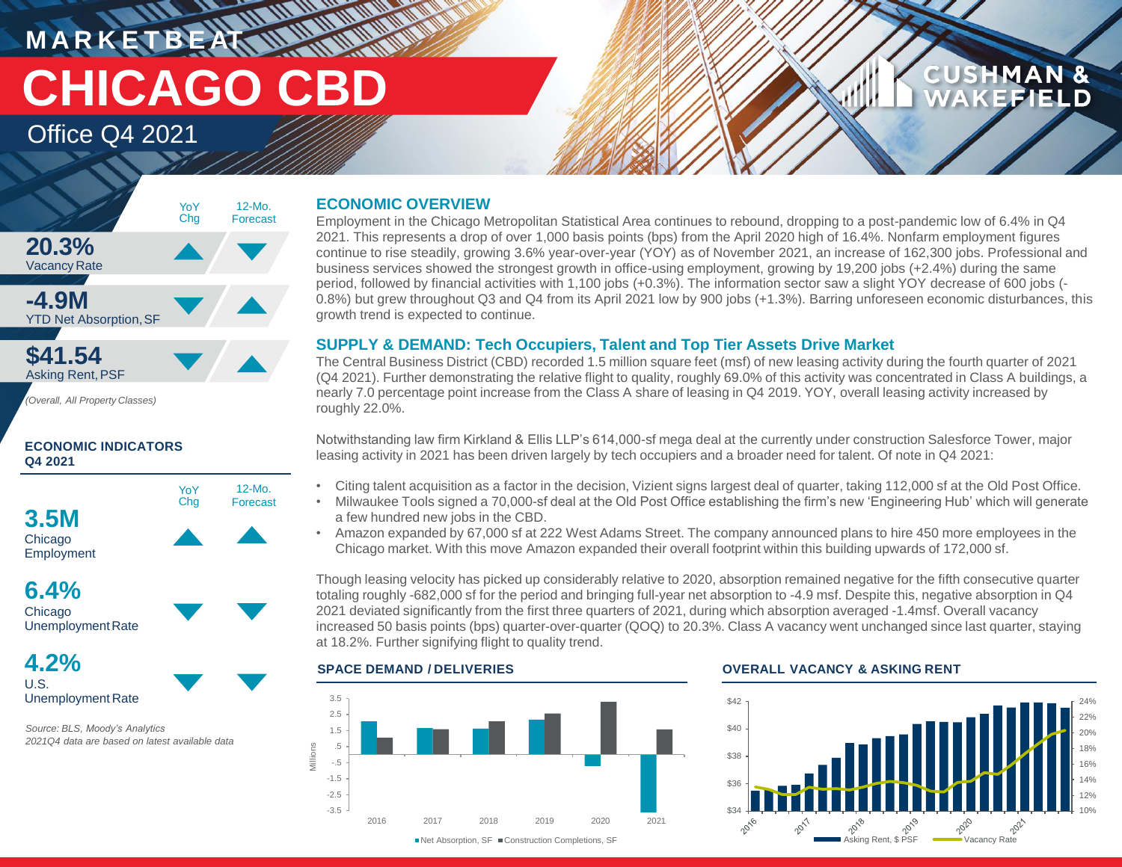**M A R K E T B E AT CHICAGO CBD**

Office Q4 2021



*(Overall, All Property Classes)*

### **ECONOMIC INDICATORS Q4 2021**





**4.2%** U.S. Unemployment Rate

*Source: BLS, Moody's Analytics 2021Q4 data are based on latest available data*

### **ECONOMIC OVERVIEW**

Employment in the Chicago Metropolitan Statistical Area continues to rebound, dropping to a post-pandemic low of 6.4% in Q4 2021. This represents a drop of over 1,000 basis points (bps) from the April 2020 high of 16.4%. Nonfarm employment figures continue to rise steadily, growing 3.6% year-over-year (YOY) as of November 2021, an increase of 162,300 jobs. Professional and business services showed the strongest growth in office-using employment, growing by 19,200 jobs (+2.4%) during the same period, followed by financial activities with 1,100 jobs (+0.3%). The information sector saw a slight YOY decrease of 600 jobs (- 0.8%) but grew throughout Q3 and Q4 from its April 2021 low by 900 jobs (+1.3%). Barring unforeseen economic disturbances, this growth trend is expected to continue.

### **SUPPLY & DEMAND: Tech Occupiers, Talent and Top Tier Assets Drive Market**

The Central Business District (CBD) recorded 1.5 million square feet (msf) of new leasing activity during the fourth quarter of 2021 (Q4 2021). Further demonstrating the relative flight to quality, roughly 69.0% of this activity was concentrated in Class A buildings, a nearly 7.0 percentage point increase from the Class A share of leasing in Q4 2019. YOY, overall leasing activity increased by roughly 22.0%.

Notwithstanding law firm Kirkland & Ellis LLP's 614,000-sf mega deal at the currently under construction Salesforce Tower, major leasing activity in 2021 has been driven largely by tech occupiers and a broader need for talent. Of note in Q4 2021:

- Citing talent acquisition as a factor in the decision, Vizient signs largest deal of quarter, taking 112,000 sf at the Old Post Office.
- Milwaukee Tools signed a 70,000-sf deal at the Old Post Office establishing the firm's new 'Engineering Hub' which will generate a few hundred new jobs in the CBD.
- Amazon expanded by 67,000 sf at 222 West Adams Street. The company announced plans to hire 450 more employees in the Chicago market. With this move Amazon expanded their overall footprint within this building upwards of 172,000 sf.

Though leasing velocity has picked up considerably relative to 2020, absorption remained negative for the fifth consecutive quarter totaling roughly -682,000 sf for the period and bringing full-year net absorption to -4.9 msf. Despite this, negative absorption in Q4 2021 deviated significantly from the first three quarters of 2021, during which absorption averaged -1.4msf. Overall vacancy increased 50 basis points (bps) quarter-over-quarter (QOQ) to 20.3%. Class A vacancy went unchanged since last quarter, staying at 18.2%. Further signifying flight to quality trend.



### **SPACE DEMAND / DELIVERIES OVERALL VACANCY & ASKING RENT**



**CUSHMAN &** 

**FFIELD**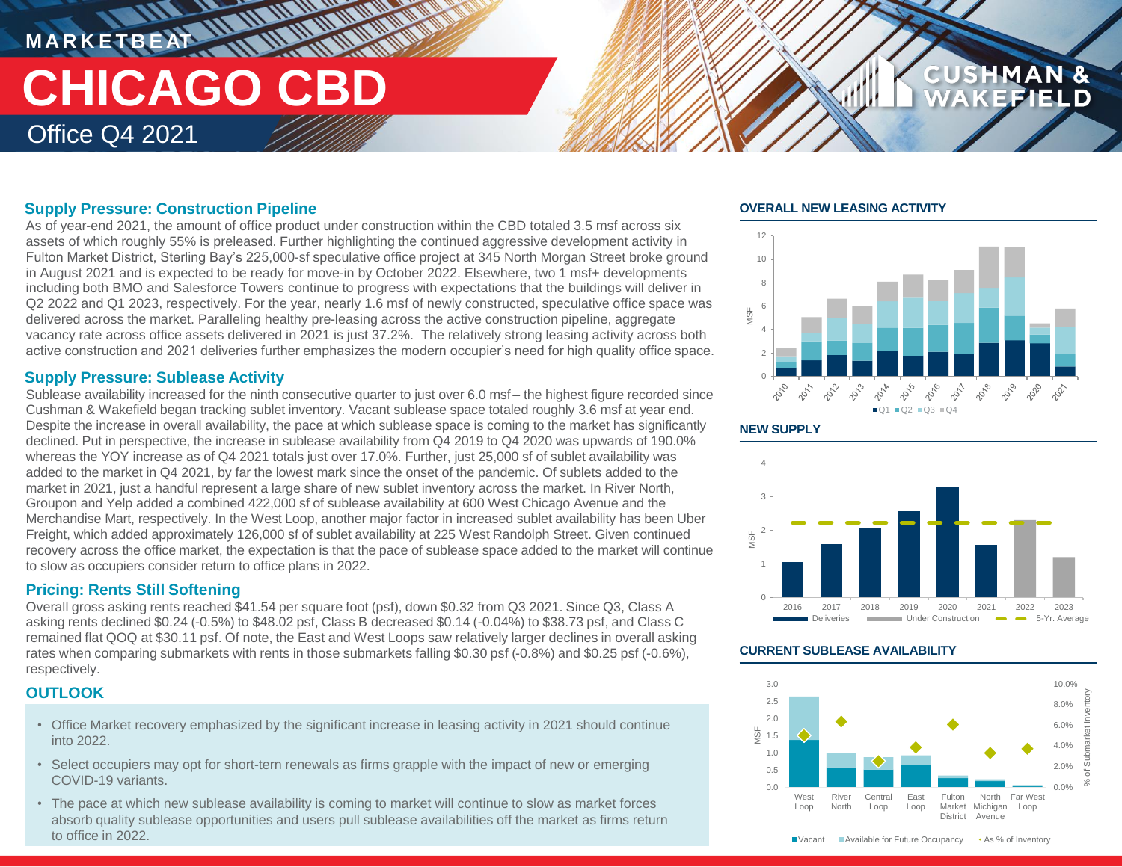### **MARKETBEAT 11 11 11 11 11 11** Office Q4 2021 **CHICAGO CBD**

### **Supply Pressure: Construction Pipeline**

As of year-end 2021, the amount of office product under construction within the CBD totaled 3.5 msf across six assets of which roughly 55% is preleased. Further highlighting the continued aggressive development activity in Fulton Market District, Sterling Bay's 225,000-sf speculative office project at 345 North Morgan Street broke ground in August 2021 and is expected to be ready for move-in by October 2022. Elsewhere, two 1 msf+ developments including both BMO and Salesforce Towers continue to progress with expectations that the buildings will deliver in Q2 2022 and Q1 2023, respectively. For the year, nearly 1.6 msf of newly constructed, speculative office space was delivered across the market. Paralleling healthy pre-leasing across the active construction pipeline, aggregate vacancy rate across office assets delivered in 2021 is just 37.2%. The relatively strong leasing activity across both active construction and 2021 deliveries further emphasizes the modern occupier's need for high quality office space.

### **Supply Pressure: Sublease Activity**

Sublease availability increased for the ninth consecutive quarter to just over 6.0 msf – the highest figure recorded since Cushman & Wakefield began tracking sublet inventory. Vacant sublease space totaled roughly 3.6 msf at year end. Despite the increase in overall availability, the pace at which sublease space is coming to the market has significantly declined. Put in perspective, the increase in sublease availability from Q4 2019 to Q4 2020 was upwards of 190.0% whereas the YOY increase as of Q4 2021 totals just over 17.0%. Further, just 25,000 sf of sublet availability was added to the market in Q4 2021, by far the lowest mark since the onset of the pandemic. Of sublets added to the market in 2021, just a handful represent a large share of new sublet inventory across the market. In River North, Groupon and Yelp added a combined 422,000 sf of sublease availability at 600 West Chicago Avenue and the Merchandise Mart, respectively. In the West Loop, another major factor in increased sublet availability has been Uber Freight, which added approximately 126,000 sf of sublet availability at 225 West Randolph Street. Given continued recovery across the office market, the expectation is that the pace of sublease space added to the market will continue to slow as occupiers consider return to office plans in 2022.

### **Pricing: Rents Still Softening**

Overall gross asking rents reached \$41.54 per square foot (psf), down \$0.32 from Q3 2021. Since Q3, Class A asking rents declined \$0.24 (-0.5%) to \$48.02 psf, Class B decreased \$0.14 (-0.04%) to \$38.73 psf, and Class C remained flat QOQ at \$30.11 psf. Of note, the East and West Loops saw relatively larger declines in overall asking rates when comparing submarkets with rents in those submarkets falling \$0.30 psf (-0.8%) and \$0.25 psf (-0.6%), respectively.

### **OUTLOOK**

- Office Market recovery emphasized by the significant increase in leasing activity in 2021 should continue into 2022.
- Select occupiers may opt for short-tern renewals as firms grapple with the impact of new or emerging COVID-19 variants.
- The pace at which new sublease availability is coming to market will continue to slow as market forces absorb quality sublease opportunities and users pull sublease availabilities off the market as firms return to office in 2022.

### **OVERALL NEW LEASING ACTIVITY**



**CUSHMAN &** 





### **CURRENT SUBLEASE AVAILABILITY**



■ Vacant Available for Future Occupancy • As % of Inventory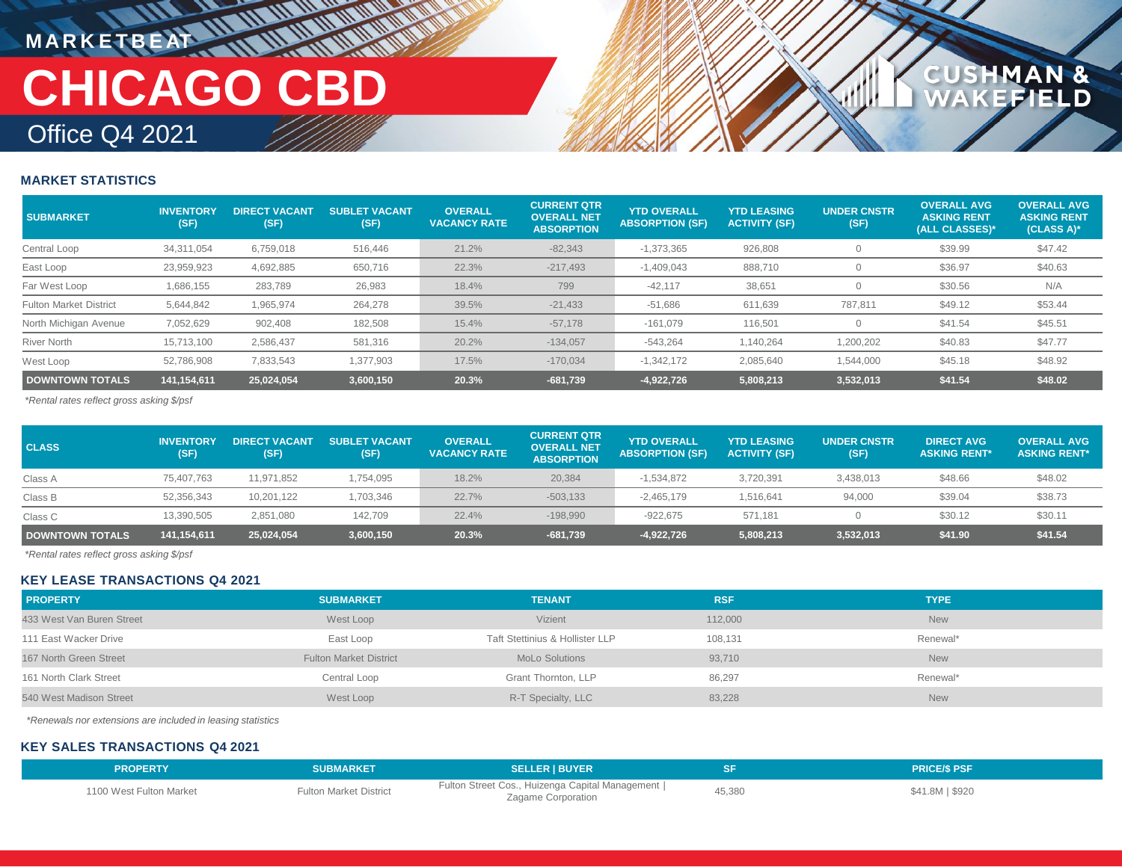## **MARKETBEAT IN IN IN IN IN IN** Office Q4 2021 **CHICAGO CBD**

## **CUSHMAN &**<br>WAKEFIELD

### **MARKET STATISTICS**

| <b>SUBMARKET</b>              | <b>INVENTORY</b><br>(SF) | <b>DIRECT VACANT</b><br>(SF) | <b>SUBLET VACANT</b><br>(SF) | <b>OVERALL</b><br><b>VACANCY RATE</b> | <b>CURRENT QTR</b><br><b>OVERALL NET</b><br><b>ABSORPTION</b> | <b>YTD OVERALL</b><br><b>ABSORPTION (SF)</b> | <b>YTD LEASING</b><br><b>ACTIVITY (SF)</b> | <b>UNDER CNSTR</b><br>(SF) | <b>OVERALL AVG</b><br><b>ASKING RENT</b><br>(ALL CLASSES)* | <b>OVERALL AVG</b><br><b>ASKING RENT</b><br>$(CLASS A)$ * |
|-------------------------------|--------------------------|------------------------------|------------------------------|---------------------------------------|---------------------------------------------------------------|----------------------------------------------|--------------------------------------------|----------------------------|------------------------------------------------------------|-----------------------------------------------------------|
| Central Loop                  | 34.311.054               | 6,759,018                    | 516,446                      | 21.2%                                 | $-82,343$                                                     | $-1,373,365$                                 | 926,808                                    |                            | \$39.99                                                    | \$47.42                                                   |
| East Loop                     | 23,959,923               | 4,692,885                    | 650,716                      | 22.3%                                 | $-217,493$                                                    | $-1,409,043$                                 | 888,710                                    |                            | \$36.97                                                    | \$40.63                                                   |
| Far West Loop                 | 1,686,155                | 283,789                      | 26,983                       | 18.4%                                 | 799                                                           | $-42,117$                                    | 38,651                                     |                            | \$30.56                                                    | N/A                                                       |
| <b>Fulton Market District</b> | 5,644,842                | 1,965,974                    | 264,278                      | 39.5%                                 | $-21,433$                                                     | $-51,686$                                    | 611,639                                    | 787,811                    | \$49.12                                                    | \$53.44                                                   |
| North Michigan Avenue         | 7,052,629                | 902,408                      | 182,508                      | 15.4%                                 | $-57,178$                                                     | $-161,079$                                   | 116,501                                    |                            | \$41.54                                                    | \$45.51                                                   |
| <b>River North</b>            | 15.713.100               | 2.586.437                    | 581,316                      | 20.2%                                 | $-134,057$                                                    | $-543,264$                                   | 140,264                                    | 1,200,202                  | \$40.83                                                    | \$47.77                                                   |
| West Loop                     | 52.786.908               | 7.833.543                    | 1,377,903                    | 17.5%                                 | $-170.034$                                                    | $-1.342.172$                                 | 2,085,640                                  | 1,544,000                  | \$45.18                                                    | \$48.92                                                   |
| <b>DOWNTOWN TOTALS</b>        | 141,154,611              | 25,024,054                   | 3,600,150                    | 20.3%                                 | $-681,739$                                                    | $-4,922,726$                                 | 5,808,213                                  | 3,532,013                  | \$41.54                                                    | \$48.02                                                   |

*\*Rental rates reflect gross asking \$/psf*

| <b>CLASS</b>           | <b>INVENTORY</b><br>(SF) | <b>DIRECT VACANT</b><br>(SF) | <b>SUBLET VACANT</b><br>(SF) | <b>OVERALL</b><br><b>VACANCY RATE</b> | <b>CURRENT QTR</b><br><b>OVERALL NET</b><br><b>ABSORPTION</b> | <b>YTD OVERALL</b><br><b>ABSORPTION (SF)</b> | <b>YTD LEASING</b><br><b>ACTIVITY (SF)</b> | <b>UNDER CNSTR</b><br>(SF) | <b>DIRECT AVG</b><br><b>ASKING RENT*</b> | <b>OVERALL AVG</b><br><b>ASKING RENT*</b> |
|------------------------|--------------------------|------------------------------|------------------------------|---------------------------------------|---------------------------------------------------------------|----------------------------------------------|--------------------------------------------|----------------------------|------------------------------------------|-------------------------------------------|
| Class A                | 75,407,763               | 11,971,852                   | 1,754,095                    | 18.2%                                 | 20,384                                                        | $-1,534,872$                                 | 3,720,391                                  | 3,438,013                  | \$48.66                                  | \$48.02                                   |
| Class B                | 52,356,343               | 10.201.122                   | 1,703,346                    | 22.7%                                 | $-503,133$                                                    | $-2,465,179$                                 | 1,516,641                                  | 94,000                     | \$39.04                                  | \$38.73                                   |
| Class C                | 13,390,505               | 2.851.080                    | 142.709                      | 22.4%                                 | $-198.990$                                                    | $-922.675$                                   | 571.181                                    |                            | \$30.12                                  | \$30.11                                   |
| <b>DOWNTOWN TOTALS</b> | 141,154,611              | 25,024,054                   | 3,600,150                    | 20.3%                                 | $-681,739$                                                    | -4,922,726                                   | 5,808,213                                  | 3,532,013                  | \$41.90                                  | \$41.54                                   |

*\*Rental rates reflect gross asking \$/psf*

### **KEY LEASE TRANSACTIONS Q4 2021**

| <b>PROPERTY</b>           | <b>SUBMARKET</b>              | <b>TENANT</b>                   | <b>RSF</b> | <b>TYPE</b> |
|---------------------------|-------------------------------|---------------------------------|------------|-------------|
| 433 West Van Buren Street | West Loop                     | <b>Vizient</b>                  | 112,000    | <b>New</b>  |
| 111 East Wacker Drive     | East Loop                     | Taft Stettinius & Hollister LLP | 108.131    | Renewal*    |
| 167 North Green Street    | <b>Fulton Market District</b> | <b>MoLo Solutions</b>           | 93,710     | <b>New</b>  |
| 161 North Clark Street    | Central Loop                  | Grant Thornton, LLP             | 86,297     | Renewal*    |
| 540 West Madison Street   | West Loop                     | R-T Specialty, LLC              | 83,228     | <b>New</b>  |

*\*Renewals nor extensions are included in leasing statistics*

### **KEY SALES TRANSACTIONS Q4 2021**

| <b>PROPERTY</b>         | <b>SUBMARKET</b>              | <b>SELLER I BUYER</b>                                                   |        | <b>PRICE/S PSF</b> |
|-------------------------|-------------------------------|-------------------------------------------------------------------------|--------|--------------------|
| 1100 West Fulton Market | <b>Fulton Market District</b> | Fulton Street Cos., Huizenga Capital Management  <br>Zagame Corporation | 45,380 | \$41.8M   \$920    |